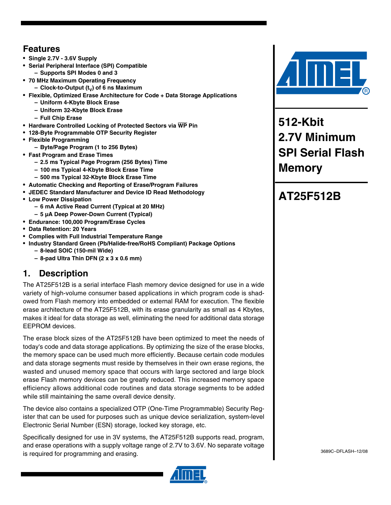## **Features**

- **Single 2.7V 3.6V Supply**
- **Serial Peripheral Interface (SPI) Compatible – Supports SPI Modes 0 and 3**
- **70 MHz Maximum Operating Frequency**
	- **Clock-to-Output (t<sub>v</sub>) of 6 ns Maximum**
- **Flexible, Optimized Erase Architecture for Code + Data Storage Applications**
	- **Uniform 4-Kbyte Block Erase**
		- **Uniform 32-Kbyte Block Erase**
		- **Full Chip Erase**
- **Hardware Controlled Locking of Protected Sectors via WP Pin**
- **128-Byte Programmable OTP Security Register**
- **Flexible Programming**
	- **Byte/Page Program (1 to 256 Bytes)**
- **Fast Program and Erase Times**
	- **2.5 ms Typical Page Program (256 Bytes) Time**
		- **100 ms Typical 4-Kbyte Block Erase Time**
	- **500 ms Typical 32-Kbyte Block Erase Time**
- **Automatic Checking and Reporting of Erase/Program Failures**
- **JEDEC Standard Manufacturer and Device ID Read Methodology**
- **Low Power Dissipation**
	- **6 mA Active Read Current (Typical at 20 MHz)**
	- **5 µA Deep Power-Down Current (Typical)**
- **Endurance: 100,000 Program/Erase Cycles**
- **Data Retention: 20 Years**
- **Complies with Full Industrial Temperature Range**
- **Industry Standard Green (Pb/Halide-free/RoHS Compliant) Package Options – 8-lead SOIC (150-mil Wide)**
	- **8-pad Ultra Thin DFN (2 x 3 x 0.6 mm)**

## **1. Description**

The AT25F512B is a serial interface Flash memory device designed for use in a wide variety of high-volume consumer based applications in which program code is shadowed from Flash memory into embedded or external RAM for execution. The flexible erase architecture of the AT25F512B, with its erase granularity as small as 4 Kbytes, makes it ideal for data storage as well, eliminating the need for additional data storage EEPROM devices.

The erase block sizes of the AT25F512B have been optimized to meet the needs of today's code and data storage applications. By optimizing the size of the erase blocks, the memory space can be used much more efficiently. Because certain code modules and data storage segments must reside by themselves in their own erase regions, the wasted and unused memory space that occurs with large sectored and large block erase Flash memory devices can be greatly reduced. This increased memory space efficiency allows additional code routines and data storage segments to be added while still maintaining the same overall device density.

The device also contains a specialized OTP (One-Time Programmable) Security Register that can be used for purposes such as unique device serialization, system-level Electronic Serial Number (ESN) storage, locked key storage, etc.

Specifically designed for use in 3V systems, the AT25F512B supports read, program, and erase operations with a supply voltage range of 2.7V to 3.6V. No separate voltage is required for programming and erasing.





**512-Kbit 2.7V Minimum SPI Serial Flash Memory**

# **AT25F512B**

3689C–DFLASH–12/08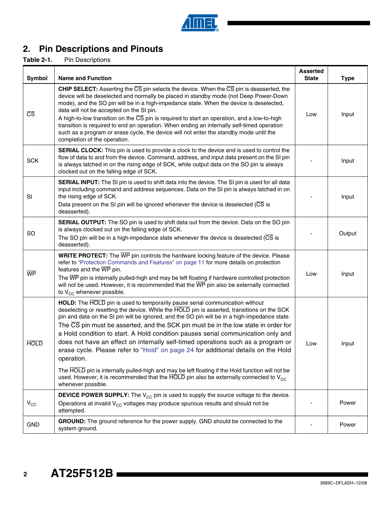

# **2. Pin Descriptions and Pinouts**

**Table 2-1.** Pin Descriptions

| <b>Symbol</b>          | <b>Name and Function</b>                                                                                                                                                                                                                                                                                                                                                                                                                                                                                                                                                                                                                                                                                                                                                                                                                                               | <b>Asserted</b><br><b>State</b> | <b>Type</b> |
|------------------------|------------------------------------------------------------------------------------------------------------------------------------------------------------------------------------------------------------------------------------------------------------------------------------------------------------------------------------------------------------------------------------------------------------------------------------------------------------------------------------------------------------------------------------------------------------------------------------------------------------------------------------------------------------------------------------------------------------------------------------------------------------------------------------------------------------------------------------------------------------------------|---------------------------------|-------------|
| $\overline{\text{CS}}$ | CHIP SELECT: Asserting the CS pin selects the device. When the CS pin is deasserted, the<br>device will be deselected and normally be placed in standby mode (not Deep Power-Down<br>mode), and the SO pin will be in a high-impedance state. When the device is deselected,<br>data will not be accepted on the SI pin.<br>A high-to-low transition on the $\overline{CS}$ pin is required to start an operation, and a low-to-high<br>transition is required to end an operation. When ending an internally self-timed operation<br>such as a program or erase cycle, the device will not enter the standby mode until the<br>completion of the operation.                                                                                                                                                                                                           | Low                             | Input       |
| <b>SCK</b>             | SERIAL CLOCK: This pin is used to provide a clock to the device and is used to control the<br>flow of data to and from the device. Command, address, and input data present on the SI pin<br>is always latched in on the rising edge of SCK, while output data on the SO pin is always<br>clocked out on the falling edge of SCK.                                                                                                                                                                                                                                                                                                                                                                                                                                                                                                                                      |                                 | Input       |
| SI                     | SERIAL INPUT: The SI pin is used to shift data into the device. The SI pin is used for all data<br>input including command and address sequences. Data on the SI pin is always latched in on<br>the rising edge of SCK.<br>Data present on the SI pin will be ignored whenever the device is deselected $(\overline{\mathrm{CS}})$ is<br>deasserted).                                                                                                                                                                                                                                                                                                                                                                                                                                                                                                                  |                                 | Input       |
| SO                     | SERIAL OUTPUT: The SO pin is used to shift data out from the device. Data on the SO pin<br>is always clocked out on the falling edge of SCK.<br>The SO pin will be in a high-impedance state whenever the device is deselected $(\overline{\text{CS}})$ is<br>deasserted).                                                                                                                                                                                                                                                                                                                                                                                                                                                                                                                                                                                             |                                 | Output      |
| <b>WP</b>              | WRITE PROTECT: The WP pin controls the hardware locking feature of the device. Please<br>refer to "Protection Commands and Features" on page 11 for more details on protection<br>features and the WP pin.<br>The WP pin is internally pulled-high and may be left floating if hardware controlled protection<br>will not be used. However, it is recommended that the $\overline{\text{WP}}$ pin also be externally connected<br>to $V_{CC}$ whenever possible.                                                                                                                                                                                                                                                                                                                                                                                                       | Low                             | Input       |
| <b>HOLD</b>            | HOLD: The HOLD pin is used to temporarily pause serial communication without<br>deselecting or resetting the device. While the HOLD pin is asserted, transitions on the SCK<br>pin and data on the SI pin will be ignored, and the SO pin will be in a high-impedance state.<br>The CS pin must be asserted, and the SCK pin must be in the low state in order for<br>a Hold condition to start. A Hold condition pauses serial communication only and<br>does not have an effect on internally self-timed operations such as a program or<br>erase cycle. Please refer to "Hold" on page 24 for additional details on the Hold<br>operation.<br>The HOLD pin is internally pulled-high and may be left floating if the Hold function will not be<br>used. However, it is recommended that the HOLD pin also be externally connected to $V_{CC}$<br>whenever possible. | Low                             | Input       |
| $V_{\rm CC}$           | <b>DEVICE POWER SUPPLY:</b> The $V_{CC}$ pin is used to supply the source voltage to the device.<br>Operations at invalid $V_{CC}$ voltages may produce spurious results and should not be<br>attempted.                                                                                                                                                                                                                                                                                                                                                                                                                                                                                                                                                                                                                                                               |                                 | Power       |
| <b>GND</b>             | GROUND: The ground reference for the power supply. GND should be connected to the<br>system ground.                                                                                                                                                                                                                                                                                                                                                                                                                                                                                                                                                                                                                                                                                                                                                                    |                                 | Power       |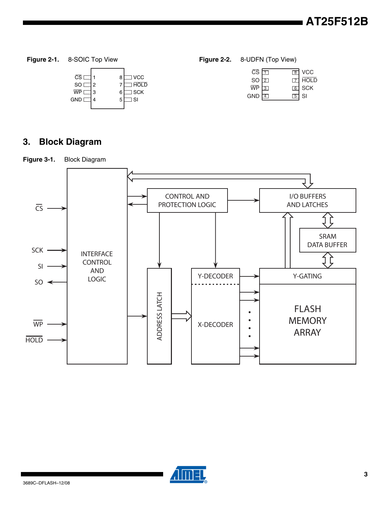| $\overline{\text{CS}}$ |   | 8 | <b>VCC</b> |
|------------------------|---|---|------------|
| <b>SO</b>              | 2 |   | HOLD       |
| WP                     | З | 6 | ] SCK      |
| <b>GND</b>             |   | 5 | SI         |
|                        |   |   |            |

**Figure 2-1.** 8-SOIC Top View **Figure 2-2.** 8-UDFN (Top View)

| $\overline{\text{CS}}$ $\Box$ |                | छ।              | <b>VCC</b>  |
|-------------------------------|----------------|-----------------|-------------|
| so t                          | $\overline{2}$ |                 | <b>HOLD</b> |
| $\overline{WP}$ 3             |                | 6               | <b>SCK</b>  |
| <b>GND</b>                    |                | $1\overline{5}$ | -SI         |
|                               |                |                 |             |

# **3. Block Diagram**





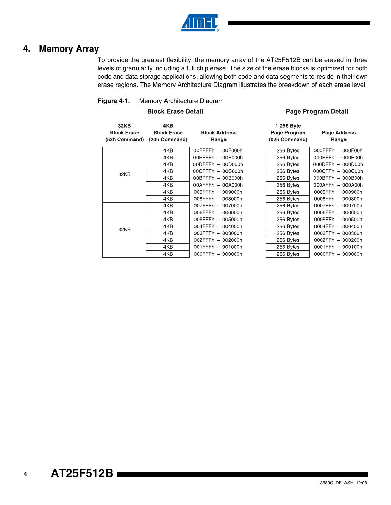

### **4. Memory Array**

To provide the greatest flexibility, the memory array of the AT25F512B can be erased in three levels of granularity including a full chip erase. The size of the erase blocks is optimized for both code and data storage applications, allowing both code and data segments to reside in their own erase regions. The Memory Architecture Diagram illustrates the breakdown of each erase level.

#### **Figure 4-1.** Memory Architecture Diagram

#### **Block Erase Detail**

#### **Page Program Detail**

| <b>32KB</b><br><b>Block Erase</b><br>(52h Command) | 4KB<br><b>Block Erase</b><br>(20h Command) | <b>Block Address</b><br>Range | 1-256 Byte<br>Page Program<br>(02h Command) | <b>Page Address</b><br>Range |
|----------------------------------------------------|--------------------------------------------|-------------------------------|---------------------------------------------|------------------------------|
|                                                    | 4KB                                        | 00FFFFh - 00F000h             | 256 Bytes                                   | 000FFFh - 000F00h            |
|                                                    | 4KB                                        | 00EFFFh - 00E000h             | 256 Bytes                                   | 000EFFh - 000E00h            |
|                                                    | 4KB                                        | $00$ DFFFh $-00$ D000h        | 256 Bytes                                   | 000DFFh - 000D00h            |
| 32KB                                               | 4KB                                        | $00CFFFh - 00C000h$           | 256 Bytes                                   | 000CFFh - 000C00h            |
|                                                    | 4KB                                        | 00BFFFh - 00B000h             | 256 Bytes                                   | 000BFFh - 000B00h            |
|                                                    | 4KB                                        | $00$ AFFFh $-00$ A000h        | 256 Bytes                                   | 000AFFh - 000A00h            |
|                                                    | 4KB                                        | 009FFFh - 009000h             | 256 Bytes                                   | 0009FFh - 000900h            |
|                                                    | 4KB                                        | 008FFFh - 008000h             | 256 Bytes                                   | 0008FFh - 000800h            |
|                                                    | 4KB                                        | 007FFFh - 007000h             | 256 Bytes                                   | 0007FFh - 000700h            |
|                                                    | 4KB                                        | 006FFFh - 006000h             | 256 Bytes                                   | 0006FFh - 000600h            |
|                                                    | 4KB                                        | 005FFFh - 005000h             | 256 Bytes                                   | 0005FFh - 000500h            |
| 32KB                                               | 4KB                                        | 004FFFh - 004000h             | 256 Bytes                                   | 0004FFh - 000400h            |
|                                                    | 4KB                                        | 003FFFh - 003000h             | 256 Bytes                                   | 0003FFh - 000300h            |
|                                                    | 4KB                                        | 002FFFh - 002000h             | 256 Bytes                                   | 0002FFh - 000200h            |
|                                                    | 4KB                                        | 001FFFh - 001000h             | 256 Bytes                                   | 0001FFh - 000100h            |
|                                                    | 4KB                                        | $000$ FFFh $-000000$ h        | 256 Bytes                                   | $0000$ FFh $-000000$ h       |

# **AT25F512B**

**4**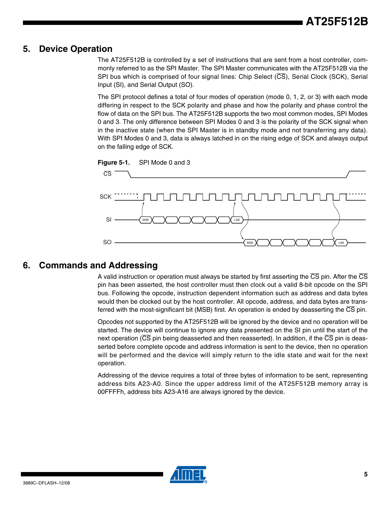### **5. Device Operation**

The AT25F512B is controlled by a set of instructions that are sent from a host controller, commonly referred to as the SPI Master. The SPI Master communicates with the AT25F512B via the SPI bus which is comprised of four signal lines: Chip Select  $(\overline{CS})$ , Serial Clock (SCK), Serial Input (SI), and Serial Output (SO).

The SPI protocol defines a total of four modes of operation (mode 0, 1, 2, or 3) with each mode differing in respect to the SCK polarity and phase and how the polarity and phase control the flow of data on the SPI bus. The AT25F512B supports the two most common modes, SPI Modes 0 and 3. The only difference between SPI Modes 0 and 3 is the polarity of the SCK signal when in the inactive state (when the SPI Master is in standby mode and not transferring any data). With SPI Modes 0 and 3, data is always latched in on the rising edge of SCK and always output on the falling edge of SCK.



### **6. Commands and Addressing**

A valid instruction or operation must always be started by first asserting the  $\overline{\text{CS}}$  pin. After the  $\overline{\text{CS}}$ pin has been asserted, the host controller must then clock out a valid 8-bit opcode on the SPI bus. Following the opcode, instruction dependent information such as address and data bytes would then be clocked out by the host controller. All opcode, address, and data bytes are transferred with the most-significant bit (MSB) first. An operation is ended by deasserting the CS pin.

Opcodes not supported by the AT25F512B will be ignored by the device and no operation will be started. The device will continue to ignore any data presented on the SI pin until the start of the next operation ( $\overline{\text{CS}}$  pin being deasserted and then reasserted). In addition, if the  $\overline{\text{CS}}$  pin is deasserted before complete opcode and address information is sent to the device, then no operation will be performed and the device will simply return to the idle state and wait for the next operation.

Addressing of the device requires a total of three bytes of information to be sent, representing address bits A23-A0. Since the upper address limit of the AT25F512B memory array is 00FFFFh, address bits A23-A16 are always ignored by the device.

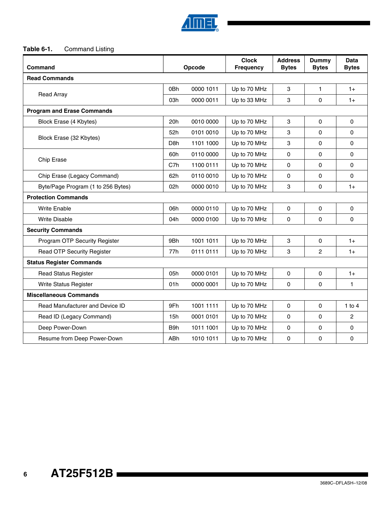

#### **Table 6-1.** Command Listing

| Command                            |                  | Opcode    | <b>Clock</b><br><b>Frequency</b> | <b>Address</b><br><b>Bytes</b> | <b>Dummy</b><br><b>Bytes</b> | Data<br><b>Bytes</b> |
|------------------------------------|------------------|-----------|----------------------------------|--------------------------------|------------------------------|----------------------|
| <b>Read Commands</b>               |                  |           |                                  |                                |                              |                      |
|                                    |                  | 0000 1011 | Up to 70 MHz                     | 3                              | $\mathbf{1}$                 | $1+$                 |
| <b>Read Array</b>                  | 03h              | 0000 0011 | Up to 33 MHz                     | 3                              | 0                            | $1+$                 |
| <b>Program and Erase Commands</b>  |                  |           |                                  |                                |                              |                      |
| Block Erase (4 Kbytes)             | 20h              | 0010 0000 | Up to 70 MHz                     | 3                              | $\mathbf 0$                  | $\Omega$             |
|                                    | 52h              | 0101 0010 | Up to 70 MHz                     | 3                              | $\mathbf 0$                  | $\mathbf 0$          |
| Block Erase (32 Kbytes)            | D <sub>8</sub> h | 1101 1000 | Up to 70 MHz                     | 3                              | 0                            | $\Omega$             |
|                                    | 60h              | 0110 0000 | Up to 70 MHz                     | $\Omega$                       | 0                            | $\Omega$             |
| Chip Erase                         |                  | 1100 0111 | Up to 70 MHz                     | 0                              | $\mathbf 0$                  | 0                    |
| Chip Erase (Legacy Command)        | 62h              | 0110 0010 | Up to 70 MHz                     | 0                              | $\mathbf 0$                  | $\Omega$             |
| Byte/Page Program (1 to 256 Bytes) | 02h              | 0000 0010 | Up to 70 MHz                     | 3                              | $\mathbf 0$                  | $1+$                 |
| <b>Protection Commands</b>         |                  |           |                                  |                                |                              |                      |
| <b>Write Enable</b>                | 06h              | 0000 0110 | Up to 70 MHz                     | 0                              | 0                            | 0                    |
| <b>Write Disable</b>               | 04h              | 0000 0100 | Up to 70 MHz                     | $\Omega$                       | $\mathbf 0$                  | $\Omega$             |
| <b>Security Commands</b>           |                  |           |                                  |                                |                              |                      |
| Program OTP Security Register      | 9Bh              | 1001 1011 | Up to 70 MHz                     | 3                              | 0                            | $1+$                 |
| <b>Read OTP Security Register</b>  | 77h              | 0111 0111 | Up to 70 MHz                     | 3                              | $\overline{2}$               | $1+$                 |
| <b>Status Register Commands</b>    |                  |           |                                  |                                |                              |                      |
| <b>Read Status Register</b>        | 05h              | 0000 0101 | Up to 70 MHz                     | $\pmb{0}$                      | $\pmb{0}$                    | $1+$                 |
| Write Status Register              | 01h              | 0000 0001 | Up to 70 MHz                     | 0                              | $\mathbf 0$                  | $\mathbf{1}$         |
| <b>Miscellaneous Commands</b>      |                  |           |                                  |                                |                              |                      |
| Read Manufacturer and Device ID    | 9Fh              | 1001 1111 | Up to 70 MHz                     | $\Omega$                       | $\mathbf 0$                  | 1 to $4$             |
| Read ID (Legacy Command)           | 15h              | 0001 0101 | Up to 70 MHz                     | 0                              | 0                            | $\overline{c}$       |
| Deep Power-Down                    | B9h              | 1011 1001 | Up to 70 MHz                     | 0                              | 0                            | $\Omega$             |
| Resume from Deep Power-Down        | <b>ABh</b>       | 1010 1011 | Up to 70 MHz                     | 0                              | $\mathbf 0$                  | 0                    |

**6**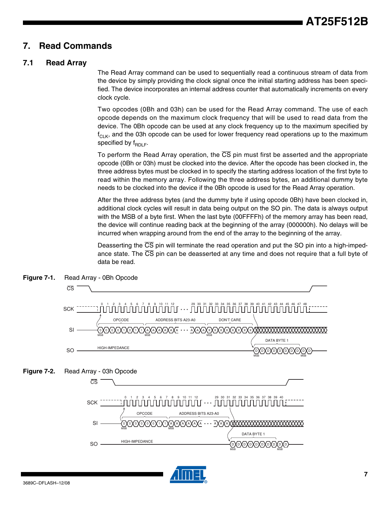### **7. Read Commands**

### **7.1 Read Array**

The Read Array command can be used to sequentially read a continuous stream of data from the device by simply providing the clock signal once the initial starting address has been specified. The device incorporates an internal address counter that automatically increments on every clock cycle.

Two opcodes (0Bh and 03h) can be used for the Read Array command. The use of each opcode depends on the maximum clock frequency that will be used to read data from the device. The 0Bh opcode can be used at any clock frequency up to the maximum specified by  $f_{\text{Cl K}}$ , and the 03h opcode can be used for lower frequency read operations up to the maximum specified by  $f_{RDL}$ .

To perform the Read Array operation, the  $\overline{CS}$  pin must first be asserted and the appropriate opcode (0Bh or 03h) must be clocked into the device. After the opcode has been clocked in, the three address bytes must be clocked in to specify the starting address location of the first byte to read within the memory array. Following the three address bytes, an additional dummy byte needs to be clocked into the device if the 0Bh opcode is used for the Read Array operation.

After the three address bytes (and the dummy byte if using opcode 0Bh) have been clocked in, additional clock cycles will result in data being output on the SO pin. The data is always output with the MSB of a byte first. When the last byte (00FFFFh) of the memory array has been read, the device will continue reading back at the beginning of the array (000000h). No delays will be incurred when wrapping around from the end of the array to the beginning of the array.

Deasserting the  $\overline{CS}$  pin will terminate the read operation and put the SO pin into a high-impedance state. The  $\overline{CS}$  pin can be deasserted at any time and does not require that a full byte of data be read.

> MSB MSB MSB n Yn Yn Yn Yn Yn Yn Yn

DATA BYTE 1



 $MSB$   $MSB$ 

HIGH-IMPEDANCE

**Figure 7-1.** Read Array - 0Bh Opcode

SO

3689C–DFLASH–12/08

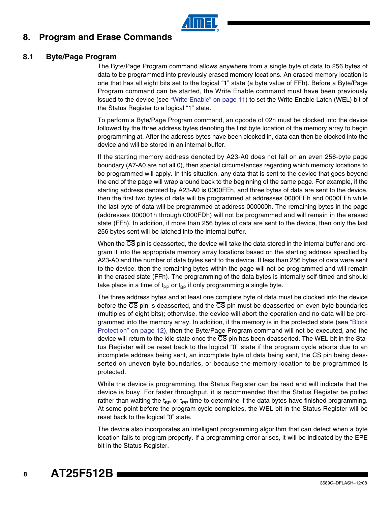### **8. Program and Erase Commands**

#### **8.1 Byte/Page Program**

The Byte/Page Program command allows anywhere from a single byte of data to 256 bytes of data to be programmed into previously erased memory locations. An erased memory location is one that has all eight bits set to the logical "1" state (a byte value of FFh). Before a Byte/Page Program command can be started, the Write Enable command must have been previously issued to the device (see ["Write Enable" on page 11\)](#page-10-1) to set the Write Enable Latch (WEL) bit of the Status Register to a logical "1" state.

To perform a Byte/Page Program command, an opcode of 02h must be clocked into the device followed by the three address bytes denoting the first byte location of the memory array to begin programming at. After the address bytes have been clocked in, data can then be clocked into the device and will be stored in an internal buffer.

If the starting memory address denoted by A23-A0 does not fall on an even 256-byte page boundary (A7-A0 are not all 0), then special circumstances regarding which memory locations to be programmed will apply. In this situation, any data that is sent to the device that goes beyond the end of the page will wrap around back to the beginning of the same page. For example, if the starting address denoted by A23-A0 is 0000FEh, and three bytes of data are sent to the device, then the first two bytes of data will be programmed at addresses 0000FEh and 0000FFh while the last byte of data will be programmed at address 000000h. The remaining bytes in the page (addresses 000001h through 0000FDh) will not be programmed and will remain in the erased state (FFh). In addition, if more than 256 bytes of data are sent to the device, then only the last 256 bytes sent will be latched into the internal buffer.

When the CS pin is deasserted, the device will take the data stored in the internal buffer and program it into the appropriate memory array locations based on the starting address specified by A23-A0 and the number of data bytes sent to the device. If less than 256 bytes of data were sent to the device, then the remaining bytes within the page will not be programmed and will remain in the erased state (FFh). The programming of the data bytes is internally self-timed and should take place in a time of t<sub>pp</sub> or t<sub>BP</sub> if only programming a single byte.

The three address bytes and at least one complete byte of data must be clocked into the device before the  $\overline{\text{CS}}$  pin is deasserted, and the  $\overline{\text{CS}}$  pin must be deasserted on even byte boundaries (multiples of eight bits); otherwise, the device will abort the operation and no data will be programmed into the memory array. In addition, if the memory is in the protected state (see ["Block](#page-11-0) [Protection" on page 12\)](#page-11-0), then the Byte/Page Program command will not be executed, and the device will return to the idle state once the CS pin has been deasserted. The WEL bit in the Status Register will be reset back to the logical "0" state if the program cycle aborts due to an incomplete address being sent, an incomplete byte of data being sent, the  $\overline{\text{CS}}$  pin being deasserted on uneven byte boundaries, or because the memory location to be programmed is protected.

While the device is programming, the Status Register can be read and will indicate that the device is busy. For faster throughput, it is recommended that the Status Register be polled rather than waiting the t<sub>BP</sub> or t<sub>PP</sub> time to determine if the data bytes have finished programming. At some point before the program cycle completes, the WEL bit in the Status Register will be reset back to the logical "0" state.

The device also incorporates an intelligent programming algorithm that can detect when a byte location fails to program properly. If a programming error arises, it will be indicated by the EPE bit in the Status Register.

**8**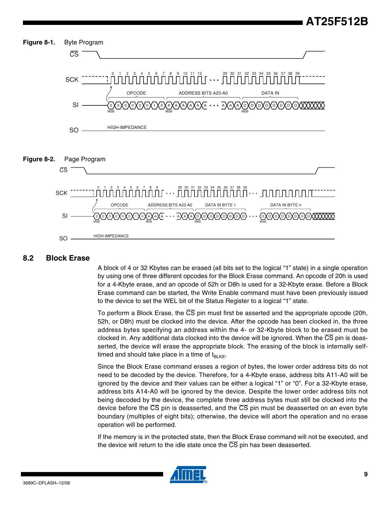

#### **8.2 Block Erase**

A block of 4 or 32 Kbytes can be erased (all bits set to the logical "1" state) in a single operation by using one of three different opcodes for the Block Erase command. An opcode of 20h is used for a 4-Kbyte erase, and an opcode of 52h or D8h is used for a 32-Kbyte erase. Before a Block Erase command can be started, the Write Enable command must have been previously issued to the device to set the WEL bit of the Status Register to a logical "1" state.

To perform a Block Erase, the  $\overline{\text{CS}}$  pin must first be asserted and the appropriate opcode (20h, 52h, or D8h) must be clocked into the device. After the opcode has been clocked in, the three address bytes specifying an address within the 4- or 32-Kbyte block to be erased must be clocked in. Any additional data clocked into the device will be ignored. When the  $\overline{\text{CS}}$  pin is deasserted, the device will erase the appropriate block. The erasing of the block is internally selftimed and should take place in a time of  $t_{BIKF}$ .

Since the Block Erase command erases a region of bytes, the lower order address bits do not need to be decoded by the device. Therefore, for a 4-Kbyte erase, address bits A11-A0 will be ignored by the device and their values can be either a logical "1" or "0". For a 32-Kbyte erase, address bits A14-A0 will be ignored by the device. Despite the lower order address bits not being decoded by the device, the complete three address bytes must still be clocked into the device before the  $\overline{CS}$  pin is deasserted, and the  $\overline{CS}$  pin must be deasserted on an even byte boundary (multiples of eight bits); otherwise, the device will abort the operation and no erase operation will be performed.

If the memory is in the protected state, then the Block Erase command will not be executed, and the device will return to the idle state once the  $\overline{\text{CS}}$  pin has been deasserted.

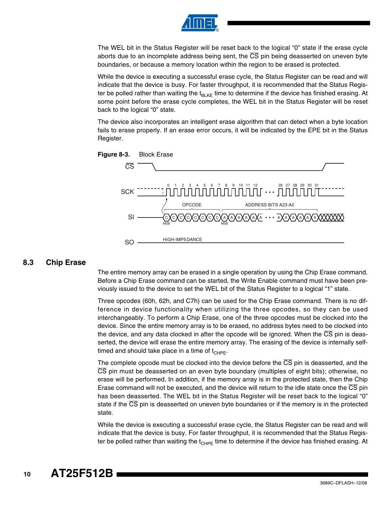

The WEL bit in the Status Register will be reset back to the logical "0" state if the erase cycle aborts due to an incomplete address being sent, the  $\overline{\text{CS}}$  pin being deasserted on uneven byte boundaries, or because a memory location within the region to be erased is protected.

While the device is executing a successful erase cycle, the Status Register can be read and will indicate that the device is busy. For faster throughput, it is recommended that the Status Register be polled rather than waiting the  $t_{\text{Bl KF}}$  time to determine if the device has finished erasing. At some point before the erase cycle completes, the WEL bit in the Status Register will be reset back to the logical "0" state.

The device also incorporates an intelligent erase algorithm that can detect when a byte location fails to erase properly. If an erase error occurs, it will be indicated by the EPE bit in the Status Register.



#### **8.3 Chip Erase**

The entire memory array can be erased in a single operation by using the Chip Erase command. Before a Chip Erase command can be started, the Write Enable command must have been previously issued to the device to set the WEL bit of the Status Register to a logical "1" state.

Three opcodes (60h, 62h, and C7h) can be used for the Chip Erase command. There is no difference in device functionality when utilizing the three opcodes, so they can be used interchangeably. To perform a Chip Erase, one of the three opcodes must be clocked into the device. Since the entire memory array is to be erased, no address bytes need to be clocked into the device, and any data clocked in after the opcode will be ignored. When the  $\overline{\text{CS}}$  pin is deasserted, the device will erase the entire memory array. The erasing of the device is internally selftimed and should take place in a time of  $t_{CHPF}$ .

The complete opcode must be clocked into the device before the  $\overline{CS}$  pin is deasserted, and the CS pin must be deasserted on an even byte boundary (multiples of eight bits); otherwise, no erase will be performed. In addition, if the memory array is in the protected state, then the Chip Erase command will not be executed, and the device will return to the idle state once the  $\overline{\text{CS}}$  pin has been deasserted. The WEL bit in the Status Register will be reset back to the logical "0" state if the  $\overline{\text{CS}}$  pin is deasserted on uneven byte boundaries or if the memory is in the protected state.

While the device is executing a successful erase cycle, the Status Register can be read and will indicate that the device is busy. For faster throughput, it is recommended that the Status Register be polled rather than waiting the t<sub>CHPE</sub> time to determine if the device has finished erasing. At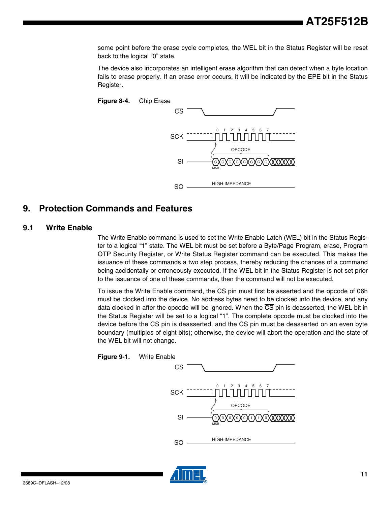some point before the erase cycle completes, the WEL bit in the Status Register will be reset back to the logical "0" state.

The device also incorporates an intelligent erase algorithm that can detect when a byte location fails to erase properly. If an erase error occurs, it will be indicated by the EPE bit in the Status Register.



### <span id="page-10-0"></span>**9. Protection Commands and Features**

#### <span id="page-10-1"></span>**9.1 Write Enable**

The Write Enable command is used to set the Write Enable Latch (WEL) bit in the Status Register to a logical "1" state. The WEL bit must be set before a Byte/Page Program, erase, Program OTP Security Register, or Write Status Register command can be executed. This makes the issuance of these commands a two step process, thereby reducing the chances of a command being accidentally or erroneously executed. If the WEL bit in the Status Register is not set prior to the issuance of one of these commands, then the command will not be executed.

To issue the Write Enable command, the  $\overline{\text{CS}}$  pin must first be asserted and the opcode of 06h must be clocked into the device. No address bytes need to be clocked into the device, and any data clocked in after the opcode will be ignored. When the CS pin is deasserted, the WEL bit in the Status Register will be set to a logical "1". The complete opcode must be clocked into the device before the  $\overline{CS}$  pin is deasserted, and the  $\overline{CS}$  pin must be deasserted on an even byte boundary (multiples of eight bits); otherwise, the device will abort the operation and the state of the WEL bit will not change.



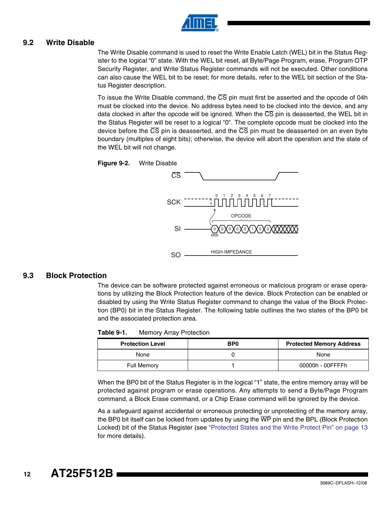

#### **9.2 Write Disable**

The Write Disable command is used to reset the Write Enable Latch (WEL) bit in the Status Register to the logical "0" state. With the WEL bit reset, all Byte/Page Program, erase, Program OTP Security Register, and Write Status Register commands will not be executed. Other conditions can also cause the WEL bit to be reset; for more details, refer to the WEL bit section of the Status Register description.

To issue the Write Disable command, the  $\overline{\text{CS}}$  pin must first be asserted and the opcode of 04h must be clocked into the device. No address bytes need to be clocked into the device, and any data clocked in after the opcode will be ignored. When the  $\overline{\text{CS}}$  pin is deasserted, the WEL bit in the Status Register will be reset to a logical "0". The complete opcode must be clocked into the device before the  $\overline{CS}$  pin is deasserted, and the  $\overline{CS}$  pin must be deasserted on an even byte boundary (multiples of eight bits); otherwise, the device will abort the operation and the state of the WEL bit will not change.





#### <span id="page-11-0"></span>**9.3 Block Protection**

The device can be software protected against erroneous or malicious program or erase operations by utilizing the Block Protection feature of the device. Block Protection can be enabled or disabled by using the Write Status Register command to change the value of the Block Protection (BP0) bit in the Status Register. The following table outlines the two states of the BP0 bit and the associated protection area.

| Table 9-1. | <b>Memory Array Protection</b> |
|------------|--------------------------------|
|------------|--------------------------------|

| <b>Protection Level</b> | BP <sub>0</sub> | <b>Protected Memory Address</b> |
|-------------------------|-----------------|---------------------------------|
| None                    |                 | None                            |
| <b>Full Memory</b>      |                 | 00000h - 00FFFFh                |

When the BP0 bit of the Status Register is in the logical "1" state, the entire memory array will be protected against program or erase operations. Any attempts to send a Byte/Page Program command, a Block Erase command, or a Chip Erase command will be ignored by the device.

As a safeguard against accidental or erroneous protecting or unprotecting of the memory array, the BP0 bit itself can be locked from updates by using the  $\overline{WP}$  pin and the BPL (Block Protection Locked) bit of the Status Register (see ["Protected States and the Write Protect Pin" on page 13](#page-12-0) for more details).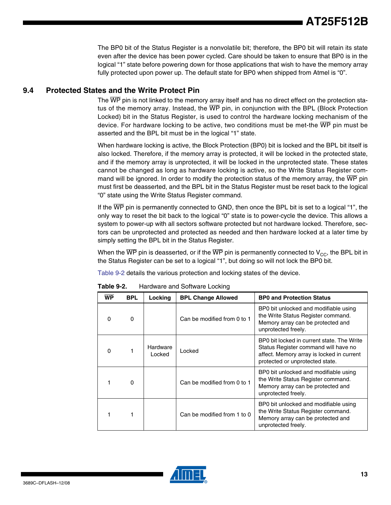The BP0 bit of the Status Register is a nonvolatile bit; therefore, the BP0 bit will retain its state even after the device has been power cycled. Care should be taken to ensure that BP0 is in the logical "1" state before powering down for those applications that wish to have the memory array fully protected upon power up. The default state for BP0 when shipped from Atmel is "0".

#### <span id="page-12-0"></span>**9.4 Protected States and the Write Protect Pin**

The WP pin is not linked to the memory array itself and has no direct effect on the protection status of the memory array. Instead, the WP pin, in conjunction with the BPL (Block Protection Locked) bit in the Status Register, is used to control the hardware locking mechanism of the device. For hardware locking to be active, two conditions must be met-the  $\overline{\text{WP}}$  pin must be asserted and the BPL bit must be in the logical "1" state.

When hardware locking is active, the Block Protection (BP0) bit is locked and the BPL bit itself is also locked. Therefore, if the memory array is protected, it will be locked in the protected state, and if the memory array is unprotected, it will be locked in the unprotected state. These states cannot be changed as long as hardware locking is active, so the Write Status Register command will be ignored. In order to modify the protection status of the memory array, the  $\overline{WP}$  pin must first be deasserted, and the BPL bit in the Status Register must be reset back to the logical "0" state using the Write Status Register command.

If the WP pin is permanently connected to GND, then once the BPL bit is set to a logical "1", the only way to reset the bit back to the logical "0" state is to power-cycle the device. This allows a system to power-up with all sectors software protected but not hardware locked. Therefore, sectors can be unprotected and protected as needed and then hardware locked at a later time by simply setting the BPL bit in the Status Register.

When the  $\overline{WP}$  pin is deasserted, or if the  $\overline{WP}$  pin is permanently connected to  $V_{CC}$ , the BPL bit in the Status Register can be set to a logical "1", but doing so will not lock the BP0 bit.

[Table 9-2](#page-12-1) details the various protection and locking states of the device.

| WP       | <b>BPL</b> | Locking            | <b>BPL Change Allowed</b>   | <b>BP0 and Protection Status</b>                                                                                                                                   |
|----------|------------|--------------------|-----------------------------|--------------------------------------------------------------------------------------------------------------------------------------------------------------------|
| $\Omega$ | ŋ          |                    | Can be modified from 0 to 1 | BP0 bit unlocked and modifiable using<br>the Write Status Register command.<br>Memory array can be protected and<br>unprotected freely.                            |
| $\Omega$ |            | Hardware<br>Locked | Locked                      | BP0 bit locked in current state. The Write<br>Status Register command will have no<br>affect. Memory array is locked in current<br>protected or unprotected state. |
|          | O          |                    | Can be modified from 0 to 1 | BP0 bit unlocked and modifiable using<br>the Write Status Register command.<br>Memory array can be protected and<br>unprotected freely.                            |
|          | 1          |                    | Can be modified from 1 to 0 | BP0 bit unlocked and modifiable using<br>the Write Status Register command.<br>Memory array can be protected and<br>unprotected freely.                            |

<span id="page-12-1"></span>**Table 9-2.** Hardware and Software Locking

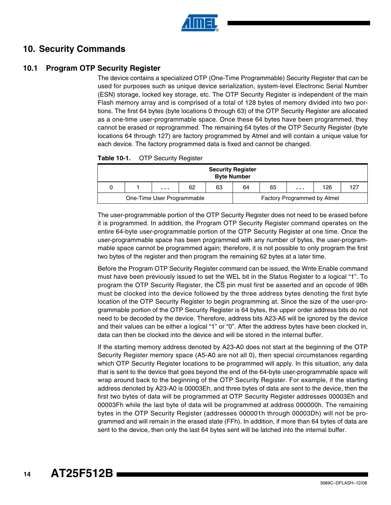

### **10. Security Commands**

### **10.1 Program OTP Security Register**

The device contains a specialized OTP (One-Time Programmable) Security Register that can be used for purposes such as unique device serialization, system-level Electronic Serial Number (ESN) storage, locked key storage, etc. The OTP Security Register is independent of the main Flash memory array and is comprised of a total of 128 bytes of memory divided into two portions. The first 64 bytes (byte locations 0 through 63) of the OTP Security Register are allocated as a one-time user-programmable space. Once these 64 bytes have been programmed, they cannot be erased or reprogrammed. The remaining 64 bytes of the OTP Security Register (byte locations 64 through 127) are factory programmed by Atmel and will contain a unique value for each device. The factory programmed data is fixed and cannot be changed.

| Table 10-1. | <b>OTP Security Register</b> |  |
|-------------|------------------------------|--|
|-------------|------------------------------|--|

| <b>Security Register</b><br><b>Byte Number</b> |  |   |    |    |    |    |                             |     |  |
|------------------------------------------------|--|---|----|----|----|----|-----------------------------|-----|--|
|                                                |  | . | 62 | 63 | 64 | 65 | .                           | 126 |  |
| One-Time User Programmable                     |  |   |    |    |    |    | Factory Programmed by Atmel |     |  |

The user-programmable portion of the OTP Security Register does not need to be erased before it is programmed. In addition, the Program OTP Security Register command operates on the entire 64-byte user-programmable portion of the OTP Security Register at one time. Once the user-programmable space has been programmed with any number of bytes, the user-programmable space cannot be programmed again; therefore, it is not possible to only program the first two bytes of the register and then program the remaining 62 bytes at a later time.

Before the Program OTP Security Register command can be issued, the Write Enable command must have been previously issued to set the WEL bit in the Status Register to a logical "1". To program the OTP Security Register, the  $\overline{\text{CS}}$  pin must first be asserted and an opcode of 9Bh must be clocked into the device followed by the three address bytes denoting the first byte location of the OTP Security Register to begin programming at. Since the size of the user-programmable portion of the OTP Security Register is 64 bytes, the upper order address bits do not need to be decoded by the device. Therefore, address bits A23-A6 will be ignored by the device and their values can be either a logical "1" or "0". After the address bytes have been clocked in, data can then be clocked into the device and will be stored in the internal buffer.

If the starting memory address denoted by A23-A0 does not start at the beginning of the OTP Security Register memory space (A5-A0 are not all 0), then special circumstances regarding which OTP Security Register locations to be programmed will apply. In this situation, any data that is sent to the device that goes beyond the end of the 64-byte user-programmable space will wrap around back to the beginning of the OTP Security Register. For example, if the starting address denoted by A23-A0 is 00003Eh, and three bytes of data are sent to the device, then the first two bytes of data will be programmed at OTP Security Register addresses 00003Eh and 00003Fh while the last byte of data will be programmed at address 000000h. The remaining bytes in the OTP Security Register (addresses 000001h through 00003Dh) will not be programmed and will remain in the erased state (FFh). In addition, if more than 64 bytes of data are sent to the device, then only the last 64 bytes sent will be latched into the internal buffer.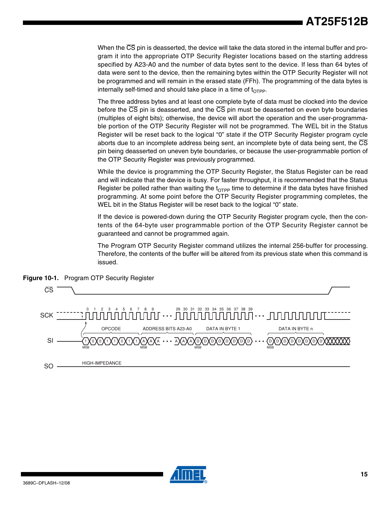When the  $\overline{\text{CS}}$  pin is deasserted, the device will take the data stored in the internal buffer and program it into the appropriate OTP Security Register locations based on the starting address specified by A23-A0 and the number of data bytes sent to the device. If less than 64 bytes of data were sent to the device, then the remaining bytes within the OTP Security Register will not be programmed and will remain in the erased state (FFh). The programming of the data bytes is internally self-timed and should take place in a time of  $t_{\text{Orpp}}$ .

The three address bytes and at least one complete byte of data must be clocked into the device before the  $\overline{\text{CS}}$  pin is deasserted, and the  $\overline{\text{CS}}$  pin must be deasserted on even byte boundaries (multiples of eight bits); otherwise, the device will abort the operation and the user-programmable portion of the OTP Security Register will not be programmed. The WEL bit in the Status Register will be reset back to the logical "0" state if the OTP Security Register program cycle aborts due to an incomplete address being sent, an incomplete byte of data being sent, the  $\overline{\text{CS}}$ pin being deasserted on uneven byte boundaries, or because the user-programmable portion of the OTP Security Register was previously programmed.

While the device is programming the OTP Security Register, the Status Register can be read and will indicate that the device is busy. For faster throughput, it is recommended that the Status Register be polled rather than waiting the  $t_{\text{Orpp}}$  time to determine if the data bytes have finished programming. At some point before the OTP Security Register programming completes, the WEL bit in the Status Register will be reset back to the logical "0" state.

If the device is powered-down during the OTP Security Register program cycle, then the contents of the 64-byte user programmable portion of the OTP Security Register cannot be guaranteed and cannot be programmed again.

The Program OTP Security Register command utilizes the internal 256-buffer for processing. Therefore, the contents of the buffer will be altered from its previous state when this command is issued.



**Figure 10-1.** Program OTP Security Register

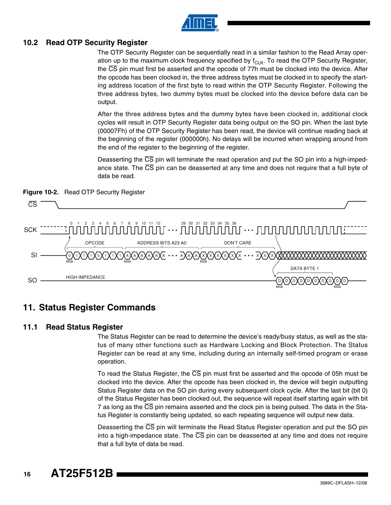

#### **10.2 Read OTP Security Register**

The OTP Security Register can be sequentially read in a similar fashion to the Read Array operation up to the maximum clock frequency specified by  $f_{\text{ClK}}$ . To read the OTP Security Register, the CS pin must first be asserted and the opcode of 77h must be clocked into the device. After the opcode has been clocked in, the three address bytes must be clocked in to specify the starting address location of the first byte to read within the OTP Security Register. Following the three address bytes, two dummy bytes must be clocked into the device before data can be output.

After the three address bytes and the dummy bytes have been clocked in, additional clock cycles will result in OTP Security Register data being output on the SO pin. When the last byte (00007Fh) of the OTP Security Register has been read, the device will continue reading back at the beginning of the register (000000h). No delays will be incurred when wrapping around from the end of the register to the beginning of the register.

Deasserting the  $\overline{CS}$  pin will terminate the read operation and put the SO pin into a high-impedance state. The  $\overline{CS}$  pin can be deasserted at any time and does not require that a full byte of data be read.





### **11. Status Register Commands**

#### **11.1 Read Status Register**

The Status Register can be read to determine the device's ready/busy status, as well as the status of many other functions such as Hardware Locking and Block Protection. The Status Register can be read at any time, including during an internally self-timed program or erase operation.

To read the Status Register, the CS pin must first be asserted and the opcode of 05h must be clocked into the device. After the opcode has been clocked in, the device will begin outputting Status Register data on the SO pin during every subsequent clock cycle. After the last bit (bit 0) of the Status Register has been clocked out, the sequence will repeat itself starting again with bit 7 as long as the  $\overline{\text{CS}}$  pin remains asserted and the clock pin is being pulsed. The data in the Status Register is constantly being updated, so each repeating sequence will output new data.

Deasserting the  $\overline{CS}$  pin will terminate the Read Status Register operation and put the SO pin into a high-impedance state. The  $\overline{CS}$  pin can be deasserted at any time and does not require that a full byte of data be read.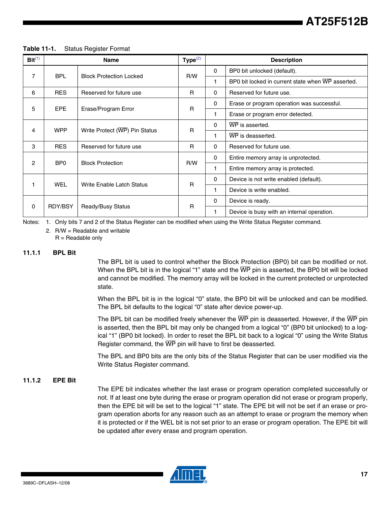| Bit <sup>(1)</sup> |                 | <b>Name</b>                    | Type <sup>(2)</sup> |              | <b>Description</b>                                |
|--------------------|-----------------|--------------------------------|---------------------|--------------|---------------------------------------------------|
|                    | <b>BPL</b>      |                                |                     | $\mathbf{0}$ | BP0 bit unlocked (default).                       |
| 7                  |                 | <b>Block Protection Locked</b> | R/W                 | 1            | BP0 bit locked in current state when WP asserted. |
| 6                  | <b>RES</b>      | Reserved for future use        | R                   | $\Omega$     | Reserved for future use.                          |
|                    |                 |                                | $\mathbf{0}$        |              | Erase or program operation was successful.        |
| 5                  | <b>EPE</b>      | Erase/Program Error            | $\mathsf{R}$        | 1            | Erase or program error detected.                  |
|                    | <b>WPP</b>      |                                | R                   | $\Omega$     | WP is asserted.                                   |
| 4                  |                 | Write Protect (WP) Pin Status  |                     | 1            | WP is deasserted.                                 |
| 3                  | <b>RES</b>      | Reserved for future use        | R                   | $\Omega$     | Reserved for future use.                          |
| 2                  | BP <sub>0</sub> | <b>Block Protection</b>        | R/W                 | $\mathbf{0}$ | Entire memory array is unprotected.               |
|                    |                 |                                |                     | 1            | Entire memory array is protected.                 |
|                    |                 |                                | R                   | $\mathbf{0}$ | Device is not write enabled (default).            |
| $\mathbf{1}$       | <b>WEL</b>      | Write Enable Latch Status      |                     | 1.           | Device is write enabled.                          |
|                    |                 |                                |                     | $\mathbf 0$  | Device is ready.                                  |
| 0                  | RDY/BSY         | Ready/Busy Status              | $\mathsf{R}$        | 1            | Device is busy with an internal operation.        |

#### **Table 11-1.** Status Register Format

<span id="page-16-1"></span><span id="page-16-0"></span>Notes: 1. Only bits 7 and 2 of the Status Register can be modified when using the Write Status Register command.

2. R/W = Readable and writable  $R =$  Readable only

#### **11.1.1 BPL Bit**

The BPL bit is used to control whether the Block Protection (BP0) bit can be modified or not. When the BPL bit is in the logical "1" state and the  $\overline{WP}$  pin is asserted, the BP0 bit will be locked and cannot be modified. The memory array will be locked in the current protected or unprotected state.

When the BPL bit is in the logical "0" state, the BP0 bit will be unlocked and can be modified. The BPL bit defaults to the logical "0" state after device power-up.

The BPL bit can be modified freely whenever the  $\overline{\text{WP}}$  pin is deasserted. However, if the  $\overline{\text{WP}}$  pin is asserted, then the BPL bit may only be changed from a logical "0" (BP0 bit unlocked) to a logical "1" (BP0 bit locked). In order to reset the BPL bit back to a logical "0" using the Write Status Register command, the  $\overline{WP}$  pin will have to first be deasserted.

The BPL and BP0 bits are the only bits of the Status Register that can be user modified via the Write Status Register command.

#### **11.1.2 EPE Bit**

The EPE bit indicates whether the last erase or program operation completed successfully or not. If at least one byte during the erase or program operation did not erase or program properly, then the EPE bit will be set to the logical "1" state. The EPE bit will not be set if an erase or program operation aborts for any reason such as an attempt to erase or program the memory when it is protected or if the WEL bit is not set prior to an erase or program operation. The EPE bit will be updated after every erase and program operation.

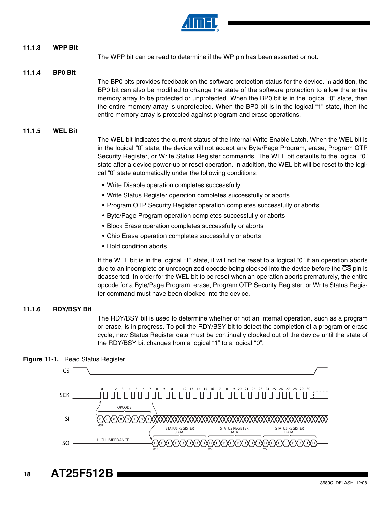

### **11.1.3 WPP Bit** The WPP bit can be read to determine if the  $\overline{\text{WP}}$  pin has been asserted or not. **11.1.4 BP0 Bit** The BP0 bits provides feedback on the software protection status for the device. In addition, the BP0 bit can also be modified to change the state of the software protection to allow the entire memory array to be protected or unprotected. When the BP0 bit is in the logical "0" state, then the entire memory array is unprotected. When the BP0 bit is in the logical "1" state, then the entire memory array is protected against program and erase operations. **11.1.5 WEL Bit** The WEL bit indicates the current status of the internal Write Enable Latch. When the WEL bit is in the logical "0" state, the device will not accept any Byte/Page Program, erase, Program OTP Security Register, or Write Status Register commands. The WEL bit defaults to the logical "0" state after a device power-up or reset operation. In addition, the WEL bit will be reset to the logical "0" state automatically under the following conditions: • Write Disable operation completes successfully • Write Status Register operation completes successfully or aborts • Program OTP Security Register operation completes successfully or aborts • Byte/Page Program operation completes successfully or aborts • Block Erase operation completes successfully or aborts

- Chip Erase operation completes successfully or aborts
- Hold condition aborts

If the WEL bit is in the logical "1" state, it will not be reset to a logical "0" if an operation aborts due to an incomplete or unrecognized opcode being clocked into the device before the CS pin is deasserted. In order for the WEL bit to be reset when an operation aborts prematurely, the entire opcode for a Byte/Page Program, erase, Program OTP Security Register, or Write Status Register command must have been clocked into the device.

### **11.1.6 RDY/BSY Bit**

The RDY/BSY bit is used to determine whether or not an internal operation, such as a program or erase, is in progress. To poll the RDY/BSY bit to detect the completion of a program or erase cycle, new Status Register data must be continually clocked out of the device until the state of the RDY/BSY bit changes from a logical "1" to a logical "0".





**18 AT25F512B**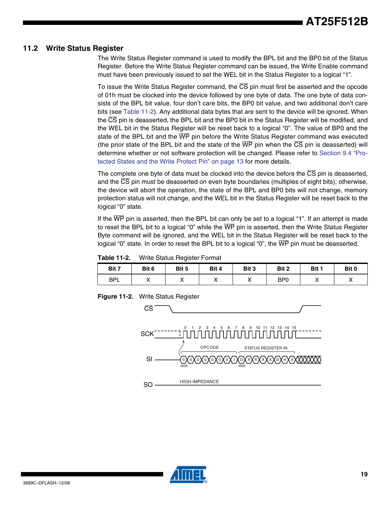#### **11.2 Write Status Register**

The Write Status Register command is used to modify the BPL bit and the BP0 bit of the Status Register. Before the Write Status Register command can be issued, the Write Enable command must have been previously issued to set the WEL bit in the Status Register to a logical "1".

To issue the Write Status Register command, the  $\overline{\text{CS}}$  pin must first be asserted and the opcode of 01h must be clocked into the device followed by one byte of data. The one byte of data consists of the BPL bit value, four don't care bits, the BP0 bit value, and two additional don't care bits (see [Table 11-2\)](#page-18-0). Any additional data bytes that are sent to the device will be ignored. When the CS pin is deasserted, the BPL bit and the BP0 bit in the Status Register will be modified, and the WEL bit in the Status Register will be reset back to a logical "0". The value of BP0 and the state of the BPL bit and the  $\overline{WP}$  pin before the Write Status Register command was executed (the prior state of the BPL bit and the state of the  $\overline{WP}$  pin when the  $\overline{CS}$  pin is deasserted) will determine whether or not software protection will be changed. Please refer to [Section 9.4 "Pro](#page-12-0)[tected States and the Write Protect Pin" on page 13](#page-12-0) for more details.

The complete one byte of data must be clocked into the device before the  $\overline{\text{CS}}$  pin is deasserted, and the  $\overline{\text{CS}}$  pin must be deasserted on even byte boundaries (multiples of eight bits); otherwise, the device will abort the operation, the state of the BPL and BP0 bits will not change, memory protection status will not change, and the WEL bit in the Status Register will be reset back to the logical "0" state.

If the WP pin is asserted, then the BPL bit can only be set to a logical "1". If an attempt is made to reset the BPL bit to a logical "0" while the  $\overline{\text{WP}}$  pin is asserted, then the Write Status Register Byte command will be ignored, and the WEL bit in the Status Register will be reset back to the logical "0" state. In order to reset the BPL bit to a logical "0", the  $\overline{WP}$  pin must be deasserted.

<span id="page-18-0"></span>**Table 11-2.** Write Status Register Format

| Bit 7      | Bit 6 | Bit 5   | Bit 4   | Bit 3     | Bit 2           | Bit 1 | Bit 0     |
|------------|-------|---------|---------|-----------|-----------------|-------|-----------|
| <b>BPL</b> | ,,    | $\cdot$ | $\cdot$ | $\lambda$ | B <sub>P0</sub> |       | $\lambda$ |

**Figure 11-2.** Write Status Register



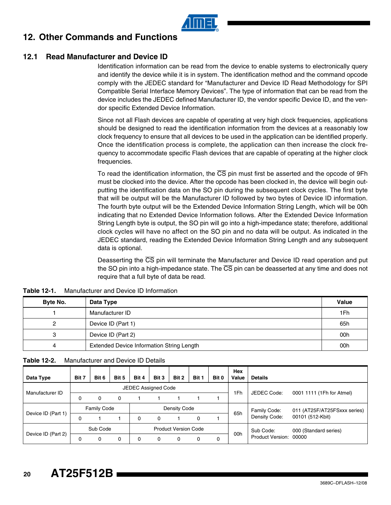

### **12. Other Commands and Functions**

#### <span id="page-19-0"></span>**12.1 Read Manufacturer and Device ID**

Identification information can be read from the device to enable systems to electronically query and identify the device while it is in system. The identification method and the command opcode comply with the JEDEC standard for "Manufacturer and Device ID Read Methodology for SPI Compatible Serial Interface Memory Devices". The type of information that can be read from the device includes the JEDEC defined Manufacturer ID, the vendor specific Device ID, and the vendor specific Extended Device Information.

Since not all Flash devices are capable of operating at very high clock frequencies, applications should be designed to read the identification information from the devices at a reasonably low clock frequency to ensure that all devices to be used in the application can be identified properly. Once the identification process is complete, the application can then increase the clock frequency to accommodate specific Flash devices that are capable of operating at the higher clock frequencies.

To read the identification information, the  $\overline{\text{CS}}$  pin must first be asserted and the opcode of 9Fh must be clocked into the device. After the opcode has been clocked in, the device will begin outputting the identification data on the SO pin during the subsequent clock cycles. The first byte that will be output will be the Manufacturer ID followed by two bytes of Device ID information. The fourth byte output will be the Extended Device Information String Length, which will be 00h indicating that no Extended Device Information follows. After the Extended Device Information String Length byte is output, the SO pin will go into a high-impedance state; therefore, additional clock cycles will have no affect on the SO pin and no data will be output. As indicated in the JEDEC standard, reading the Extended Device Information String Length and any subsequent data is optional.

Deasserting the CS pin will terminate the Manufacturer and Device ID read operation and put the SO pin into a high-impedance state. The  $\overline{CS}$  pin can be deasserted at any time and does not require that a full byte of data be read.

| Byte No. | Data Type                                 | <b>Value</b> |
|----------|-------------------------------------------|--------------|
|          | Manufacturer ID                           | 1Fh          |
| 2        | Device ID (Part 1)                        | 65h          |
| 3        | Device ID (Part 2)                        | 00h          |
| 4        | Extended Device Information String Length | 00h          |

**Table 12-1.** Manufacturer and Device ID Information

| Manufacturer and Device ID Details<br><b>Table 12-2.</b> |  |
|----------------------------------------------------------|--|
|----------------------------------------------------------|--|

| Data Type          | Bit 7    | Bit 6              | Bit 5 | Bit 4                       | Bit 3                      | Bit 2        | Bit 1 | Bit 0 | Hex<br>Value | <b>Details</b>          |                              |
|--------------------|----------|--------------------|-------|-----------------------------|----------------------------|--------------|-------|-------|--------------|-------------------------|------------------------------|
|                    |          |                    |       |                             | <b>JEDEC Assigned Code</b> |              |       |       |              |                         |                              |
| Manufacturer ID    | 0        | 0                  | 0     |                             |                            |              |       |       | 1Fh          | JEDEC Code:             | 0001 1111 (1Fh for Atmel)    |
|                    |          | <b>Family Code</b> |       |                             |                            | Density Code |       |       |              | Family Code:            | 011 (AT25F/AT25FSxxx series) |
| Device ID (Part 1) | 0        |                    |       | 0                           | 0                          |              | 0     |       | 65h          | Density Code:           | 00101 (512-Kbit)             |
|                    | Sub Code |                    |       | <b>Product Version Code</b> |                            |              |       |       | 00h          | Sub Code:               | 000 (Standard series)        |
| Device ID (Part 2) | 0        | 0                  | 0     |                             |                            |              | 0     | 0     |              | <b>Product Version:</b> | 00000                        |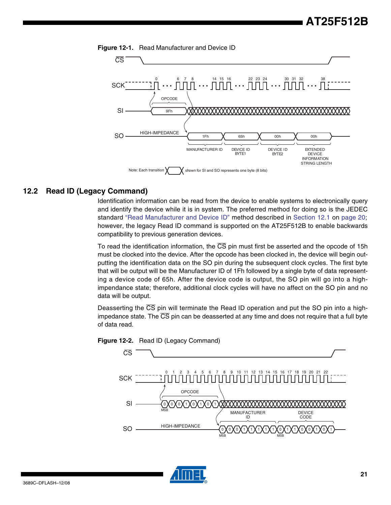



#### **12.2 Read ID (Legacy Command)**

Identification information can be read from the device to enable systems to electronically query and identify the device while it is in system. The preferred method for doing so is the JEDEC standard ["Read Manufacturer and Device ID"](#page-19-0) method described in [Section 12.1](#page-19-0) on [page 20](#page-19-0); however, the legacy Read ID command is supported on the AT25F512B to enable backwards compatibility to previous generation devices.

To read the identification information, the CS pin must first be asserted and the opcode of 15h must be clocked into the device. After the opcode has been clocked in, the device will begin outputting the identification data on the SO pin during the subsequent clock cycles. The first byte that will be output will be the Manufacturer ID of 1Fh followed by a single byte of data representing a device code of 65h. After the device code is output, the SO pin will go into a highimpendance state; therefore, additional clock cycles will have no affect on the SO pin and no data will be output.

Deasserting the  $\overline{CS}$  pin will terminate the Read ID operation and put the SO pin into a highimpedance state. The  $\overline{\text{CS}}$  pin can be deasserted at any time and does not require that a full byte of data read.





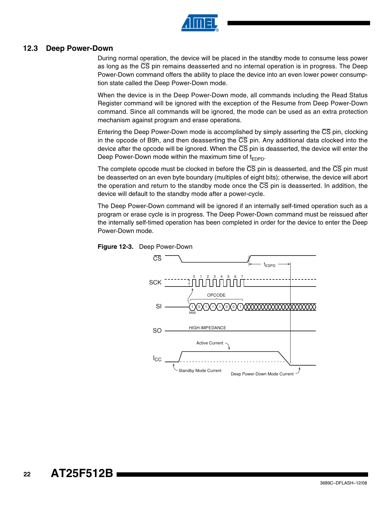

#### **12.3 Deep Power-Down**

During normal operation, the device will be placed in the standby mode to consume less power as long as the  $\overline{\text{CS}}$  pin remains deasserted and no internal operation is in progress. The Deep Power-Down command offers the ability to place the device into an even lower power consumption state called the Deep Power-Down mode.

When the device is in the Deep Power-Down mode, all commands including the Read Status Register command will be ignored with the exception of the Resume from Deep Power-Down command. Since all commands will be ignored, the mode can be used as an extra protection mechanism against program and erase operations.

Entering the Deep Power-Down mode is accomplished by simply asserting the  $\overline{\text{CS}}$  pin, clocking in the opcode of B9h, and then deasserting the  $\overline{\text{CS}}$  pin. Any additional data clocked into the device after the opcode will be ignored. When the  $\overline{\text{CS}}$  pin is deasserted, the device will enter the Deep Power-Down mode within the maximum time of  $t_{\text{FDPD}}$ .

The complete opcode must be clocked in before the  $\overline{CS}$  pin is deasserted, and the  $\overline{CS}$  pin must be deasserted on an even byte boundary (multiples of eight bits); otherwise, the device will abort the operation and return to the standby mode once the  $\overline{CS}$  pin is deasserted. In addition, the device will default to the standby mode after a power-cycle.

The Deep Power-Down command will be ignored if an internally self-timed operation such as a program or erase cycle is in progress. The Deep Power-Down command must be reissued after the internally self-timed operation has been completed in order for the device to enter the Deep Power-Down mode.



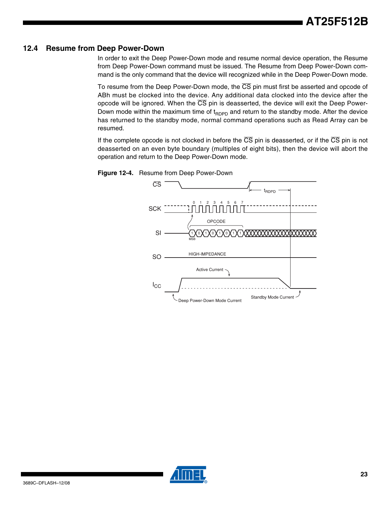#### **12.4 Resume from Deep Power-Down**

In order to exit the Deep Power-Down mode and resume normal device operation, the Resume from Deep Power-Down command must be issued. The Resume from Deep Power-Down command is the only command that the device will recognized while in the Deep Power-Down mode.

To resume from the Deep Power-Down mode, the  $\overline{\text{CS}}$  pin must first be asserted and opcode of ABh must be clocked into the device. Any additional data clocked into the device after the opcode will be ignored. When the  $\overline{\text{CS}}$  pin is deasserted, the device will exit the Deep Power-Down mode within the maximum time of  $t_{RDPD}$  and return to the standby mode. After the device has returned to the standby mode, normal command operations such as Read Array can be resumed.

If the complete opcode is not clocked in before the  $\overline{CS}$  pin is deasserted, or if the  $\overline{CS}$  pin is not deasserted on an even byte boundary (multiples of eight bits), then the device will abort the operation and return to the Deep Power-Down mode.





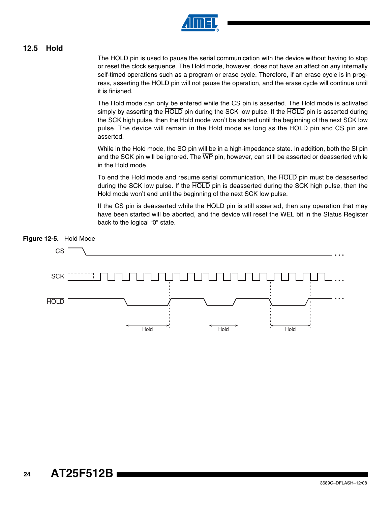

#### <span id="page-23-0"></span>**12.5 Hold**

The HOLD pin is used to pause the serial communication with the device without having to stop or reset the clock sequence. The Hold mode, however, does not have an affect on any internally self-timed operations such as a program or erase cycle. Therefore, if an erase cycle is in progress, asserting the HOLD pin will not pause the operation, and the erase cycle will continue until it is finished.

The Hold mode can only be entered while the  $\overline{\text{CS}}$  pin is asserted. The Hold mode is activated simply by asserting the HOLD pin during the SCK low pulse. If the HOLD pin is asserted during the SCK high pulse, then the Hold mode won't be started until the beginning of the next SCK low pulse. The device will remain in the Hold mode as long as the  $\overline{HOLD}$  pin and  $\overline{CS}$  pin are asserted.

While in the Hold mode, the SO pin will be in a high-impedance state. In addition, both the SI pin and the SCK pin will be ignored. The  $\overline{WP}$  pin, however, can still be asserted or deasserted while in the Hold mode.

To end the Hold mode and resume serial communication, the HOLD pin must be deasserted during the SCK low pulse. If the HOLD pin is deasserted during the SCK high pulse, then the Hold mode won't end until the beginning of the next SCK low pulse.

If the  $\overline{CS}$  pin is deasserted while the HOLD pin is still asserted, then any operation that may have been started will be aborted, and the device will reset the WEL bit in the Status Register back to the logical "0" state.



#### **Figure 12-5.** Hold Mode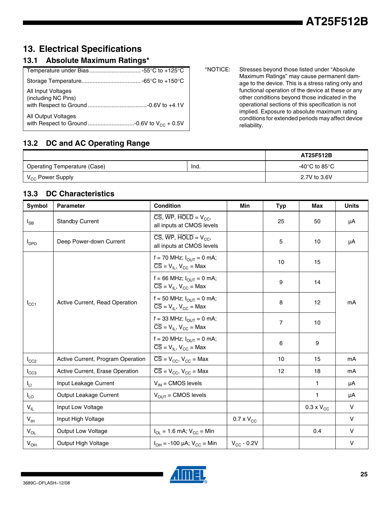# **13. Electrical Specifications**

### **13.1 Absolute Maximum Ratings\***

| All Input Voltages<br>(including NC Pins) |
|-------------------------------------------|
| All Output Voltages                       |

\*NOTICE: Stresses beyond those listed under "Absolute Maximum Ratings" may cause permanent damage to the device. This is a stress rating only and functional operation of the device at these or any other conditions beyond those indicated in the operational sections of this specification is not implied. Exposure to absolute maximum rating conditions for extended periods may affect device reliability.

### **13.2 DC and AC Operating Range**

|                              |      | AT25F512B     |
|------------------------------|------|---------------|
| Operating Temperature (Case) | lnd. | -40°C to 85°C |
| V <sub>CC</sub> Power Supply |      | 2.7V to 3.6V  |

### **13.3 DC Characteristics**

| Symbol           | <b>Parameter</b>                  | <b>Condition</b>                                                                                                         | Min                 | <b>Typ</b> | Max                 | <b>Units</b> |
|------------------|-----------------------------------|--------------------------------------------------------------------------------------------------------------------------|---------------------|------------|---------------------|--------------|
| $I_{SB}$         | <b>Standby Current</b>            | $\overline{\text{CS}}, \overline{\text{WP}}, \overline{\text{HOLD}} = \text{V}_{\text{CC}}$<br>all inputs at CMOS levels |                     | 25         | 50                  | μA           |
| $I_{\text{DPD}}$ | Deep Power-down Current           | $\overline{\text{CS}}$ , WP, HOLD = $V_{CC}$ ,<br>all inputs at CMOS levels                                              |                     | 5          | 10                  | μA           |
|                  |                                   | f = 70 MHz; $I_{OUT} = 0$ mA;<br>$\overline{CS} = V_{IL}$ , $V_{CC} = Max$                                               |                     | 10         | 15                  |              |
|                  |                                   | f = 66 MHz; $I_{\text{OUT}} = 0$ mA;<br>$\overline{CS} = V_{IL}$ , $V_{CC} = Max$                                        |                     | 9          | 14                  |              |
| $I_{\rm CC1}$    | Active Current, Read Operation    | f = 50 MHz; $I_{\text{OUT}} = 0$ mA;<br>$\overline{CS} = V_{IL}$ , $V_{CC} = Max$                                        |                     | 8          | 12                  | mA           |
|                  |                                   | f = 33 MHz; $I_{\text{OUT}} = 0$ mA;<br>$\overline{CS}$ = V <sub>II</sub> , V <sub>CC</sub> = Max                        |                     | 7          | 10                  |              |
|                  |                                   | f = 20 MHz; $I_{\text{OUT}} = 0$ mA;<br>$\overline{CS}$ = V <sub>II</sub> , V <sub>CC</sub> = Max                        |                     | 6          | 9                   |              |
| $I_{CC2}$        | Active Current, Program Operation | $\overline{CS}$ = V <sub>CC</sub> , V <sub>CC</sub> = Max                                                                |                     | 10         | 15                  | mA           |
| $I_{CC3}$        | Active Current, Erase Operation   | $\overline{CS}$ = $V_{CC}$ , $V_{CC}$ = Max                                                                              |                     | 12         | 18                  | mA           |
| $I_{LI}$         | Input Leakage Current             | $V_{IN}$ = CMOS levels                                                                                                   |                     |            | 1                   | μA           |
| $I_{LO}$         | Output Leakage Current            | $V_{OUT} = CMOS$ levels                                                                                                  |                     |            | $\mathbf{1}$        | μA           |
| $V_{IL}$         | Input Low Voltage                 |                                                                                                                          |                     |            | $0.3 \times V_{CC}$ | $\vee$       |
| $V_{\text{IH}}$  | Input High Voltage                |                                                                                                                          | $0.7 \times V_{CC}$ |            |                     | $\mathsf{V}$ |
| $V_{OL}$         | <b>Output Low Voltage</b>         | $I_{OL}$ = 1.6 mA; $V_{CC}$ = Min                                                                                        |                     |            | 0.4                 | $\mathsf{V}$ |
| $V_{OH}$         | Output High Voltage               | $I_{OH}$ = -100 µA; $V_{CC}$ = Min                                                                                       | $V_{CC}$ - 0.2V     |            |                     | V            |

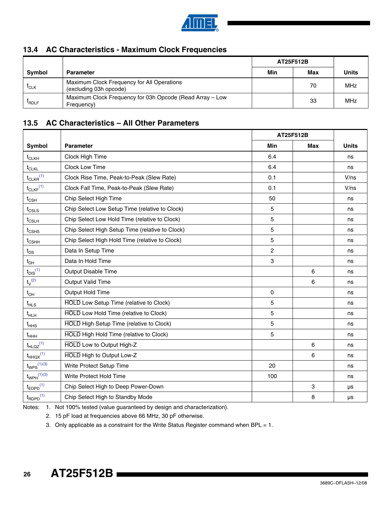

### **13.4 AC Characteristics - Maximum Clock Frequencies**

|                  |                                                                        | AT25F512B |     |              |
|------------------|------------------------------------------------------------------------|-----------|-----|--------------|
| <b>Symbol</b>    | <b>Parameter</b>                                                       | Min       | Max | <b>Units</b> |
| <sup>I</sup> CLK | Maximum Clock Frequency for All Operations<br>(excluding 03h opcode)   |           | 70  | MHz          |
| <b>PRDLF</b>     | Maximum Clock Frequency for 03h Opcode (Read Array – Low<br>Frequency) |           | 33  | MHz          |

### **13.5 AC Characteristics – All Other Parameters**

|                                 | AT25F512B                                       |             |            |              |
|---------------------------------|-------------------------------------------------|-------------|------------|--------------|
| Symbol                          | <b>Parameter</b>                                | Min         | <b>Max</b> | <b>Units</b> |
| $t_{CLKH}$                      | Clock High Time                                 | 6.4         |            | ns           |
| $t_{CLKL}$                      | Clock Low Time                                  | 6.4         |            | ns           |
| $t_{CLKR}$ <sup>(1)</sup>       | Clock Rise Time, Peak-to-Peak (Slew Rate)       | 0.1         |            | V/ns         |
| $t_{CLKF}$ <sup>(1)</sup>       | Clock Fall Time, Peak-to-Peak (Slew Rate)       | 0.1         |            | V/ns         |
| $t_{\scriptstyle{\text{CSH}}}$  | Chip Select High Time                           | 50          |            | ns           |
| $t_{CSLS}$                      | Chip Select Low Setup Time (relative to Clock)  | 5           |            | ns           |
| $t_{\scriptstyle\rm{CSLH}}$     | Chip Select Low Hold Time (relative to Clock)   | 5           |            | ns           |
| $t_{\text{CSHS}}$               | Chip Select High Setup Time (relative to Clock) | 5           |            | ns           |
| $t_{\scriptstyle{\text{CSHH}}}$ | Chip Select High Hold Time (relative to Clock)  | 5           |            | ns           |
| $t_{DS}$                        | Data In Setup Time                              | 2           |            | ns           |
| $t_{DH}$                        | Data In Hold Time                               | 3           |            | ns           |
| $t_{DIS}$ <sup>(1)</sup>        | Output Disable Time                             |             | 6          | ns           |
| $t_V^{(2)}$                     | <b>Output Valid Time</b>                        |             | 6          | ns           |
| $t_{OH}$                        | Output Hold Time                                | $\mathbf 0$ |            | ns           |
| $t_{HLS}$                       | <b>HOLD</b> Low Setup Time (relative to Clock)  | 5           |            | ns           |
| $t_{HLH}$                       | <b>HOLD</b> Low Hold Time (relative to Clock)   | 5           |            | ns           |
| $t_{\text{HHS}}$                | <b>HOLD</b> High Setup Time (relative to Clock) | 5           |            | ns           |
| $t_{HHH}$                       | <b>HOLD</b> High Hold Time (relative to Clock)  | 5           |            | ns           |
| $t_{HLQZ}^{(1)}$                | <b>HOLD</b> Low to Output High-Z                |             | 6          | ns           |
| $t_{HHQX}$ <sup>(1)</sup>       | HOLD High to Output Low-Z                       |             | 6          | ns           |
| $t_{WPS}^{(1)(3)}$              | Write Protect Setup Time                        | 20          |            | ns           |
| $t_{WPH}^{(1)(3)}$              | Write Protect Hold Time                         | 100         |            | ns           |
| $t_{EDPD}$ <sup>(1)</sup>       | Chip Select High to Deep Power-Down             |             | 3          | μs           |
| $t_{\text{RDPD}}^{(1)}$         | Chip Select High to Standby Mode                |             | 8          | μs           |

<span id="page-25-2"></span><span id="page-25-1"></span><span id="page-25-0"></span>Notes: 1. Not 100% tested (value guaranteed by design and characterization).

2. 15 pF load at frequencies above 66 MHz, 30 pF otherwise.

3. Only applicable as a constraint for the Write Status Register command when BPL = 1.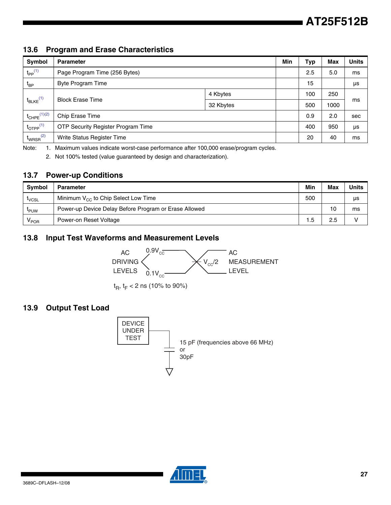### **13.6 Program and Erase Characteristics**

| Symbol                    | <b>Parameter</b>                          | Min       | Typ | <b>Max</b> | <b>Units</b> |     |
|---------------------------|-------------------------------------------|-----------|-----|------------|--------------|-----|
| $t_{PP}$ <sup>(1)</sup>   | Page Program Time (256 Bytes)             |           |     | 2.5        | 5.0          | ms  |
| $t_{BP}$                  | <b>Byte Program Time</b>                  |           |     | 15         |              | μs  |
|                           |                                           | 4 Kbytes  |     | 100        | 250          |     |
| $t_{BLKE}$ <sup>(1)</sup> | <b>Block Erase Time</b>                   | 32 Kbytes |     | 500        | 1000         | ms  |
| $t_{CHPE}$ $(1)(2)$       | Chip Erase Time                           |           |     | 0.9        | 2.0          | sec |
| $t_{\text{OTPP}}^{(1)}$   | <b>OTP Security Register Program Time</b> |           |     | 400        | 950          | μs  |
| $t_{WRSR}^{(2)}$          | Write Status Register Time                |           |     | 20         | 40           | ms  |

<span id="page-26-1"></span><span id="page-26-0"></span>Note: 1. Maximum values indicate worst-case performance after 100,000 erase/program cycles.

2. Not 100% tested (value guaranteed by design and characterization).

#### **13.7 Power-up Conditions**

| Symbol                | <b>Parameter</b>                                      | Min  | Max | <b>Units</b> |
|-----------------------|-------------------------------------------------------|------|-----|--------------|
| $\iota_{\text{VCSL}}$ | Minimum V <sub>CC</sub> to Chip Select Low Time       | 500  |     | μs           |
| <b>PUW</b>            | Power-up Device Delay Before Program or Erase Allowed |      | 10  | ms           |
| <b>V</b> POR          | Power-on Reset Voltage                                | . .5 | 2.5 |              |

### **13.8 Input Test Waveforms and Measurement Levels**



t<sub>R</sub>, t<sub>F</sub> < 2 ns (10% to 90%)

### **13.9 Output Test Load**



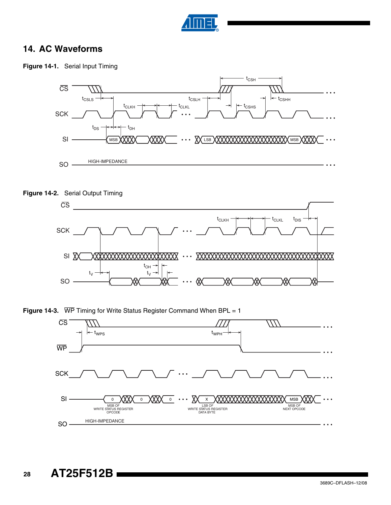

### **14. AC Waveforms**

**Figure 14-1.** Serial Input Timing









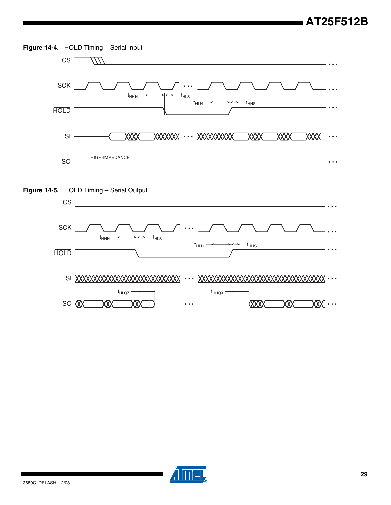





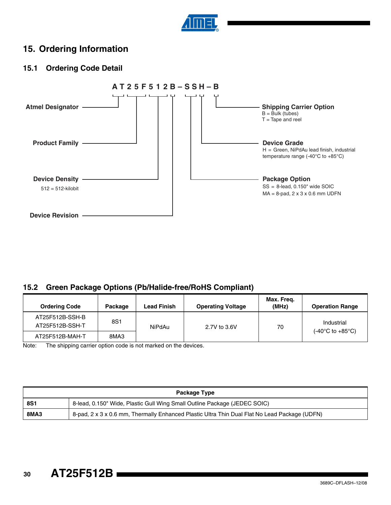

### **15. Ordering Information**

### **15.1 Ordering Code Detail**



### **15.2 Green Package Options (Pb/Halide-free/RoHS Compliant)**

| <b>Ordering Code</b>               | Package | Lead Finish   | <b>Operating Voltage</b> | Max. Freg.<br>(MHz) | <b>Operation Range</b>               |  |
|------------------------------------|---------|---------------|--------------------------|---------------------|--------------------------------------|--|
| AT25F512B-SSH-B<br>AT25F512B-SSH-T | 8S1     | <b>NiPdAu</b> | 2.7V to 3.6V             | 70                  | Industrial                           |  |
| AT25F512B-MAH-T                    | 8MA3    |               |                          |                     | $(-40^{\circ}$ C to $+85^{\circ}$ C) |  |

Note: The shipping carrier option code is not marked on the devices.

| Package Type |                                                                                               |  |  |  |
|--------------|-----------------------------------------------------------------------------------------------|--|--|--|
| <b>8S1</b>   | 8-lead, 0.150" Wide, Plastic Gull Wing Small Outline Package (JEDEC SOIC)                     |  |  |  |
| <b>8MA3</b>  | 8-pad, 2 x 3 x 0.6 mm, Thermally Enhanced Plastic Ultra Thin Dual Flat No Lead Package (UDFN) |  |  |  |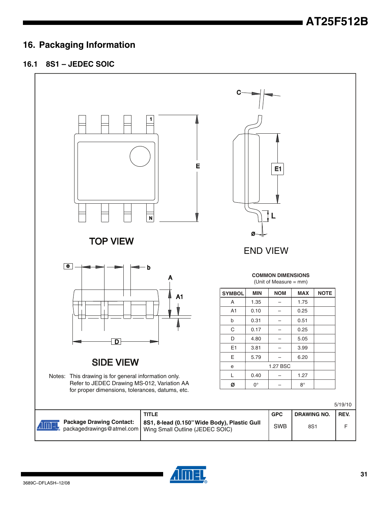### **16. Packaging Information**

### **16.1 8S1 – JEDEC SOIC**



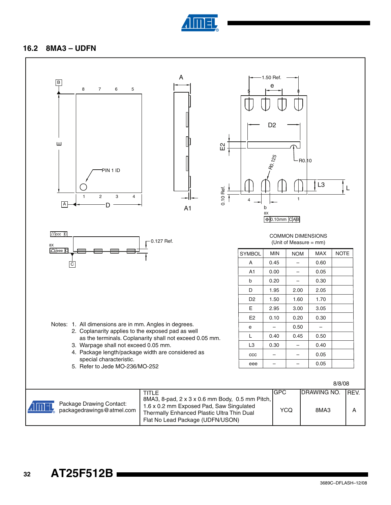

#### **16.2 8MA3 – UDFN**

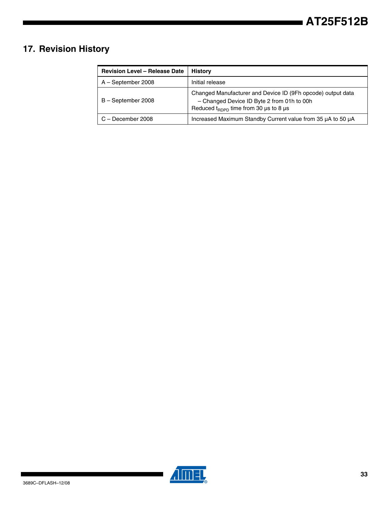# **17. Revision History**

| <b>Revision Level - Release Date</b> | History                                                                                                                                                        |
|--------------------------------------|----------------------------------------------------------------------------------------------------------------------------------------------------------------|
| A - September 2008                   | Initial release                                                                                                                                                |
| B-September 2008                     | Changed Manufacturer and Device ID (9Fh opcode) output data<br>- Changed Device ID Byte 2 from 01h to 00h<br>Reduced $t_{\text{BDPD}}$ time from 30 µs to 8 µs |
| C - December 2008                    | Increased Maximum Standby Current value from 35 µA to 50 µA                                                                                                    |